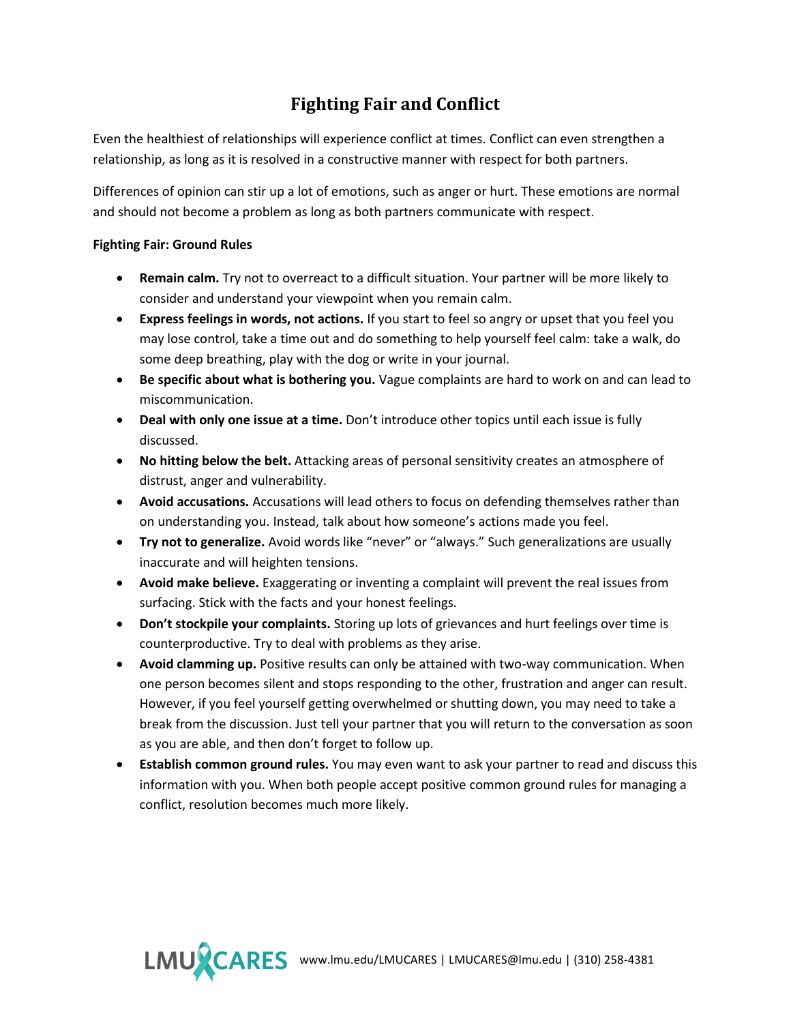## **Fighting Fair and Conflict**

Even the healthiest of relationships will experience conflict at times. Conflict can even strengthen a relationship, as long as it is resolved in a constructive manner with respect for both partners.

Differences of opinion can stir up a lot of emotions, such as anger or hurt. These emotions are normal and should not become a problem as long as both partners communicate with respect.

## **Fighting Fair: Ground Rules**

- **Remain calm.** Try not to overreact to a difficult situation. Your partner will be more likely to consider and understand your viewpoint when you remain calm.
- **Express feelings in words, not actions.** If you start to feel so angry or upset that you feel you may lose control, take a time out and do something to help yourself feel calm: take a walk, do some deep breathing, play with the dog or write in your journal.
- **Be specific about what is bothering you.** Vague complaints are hard to work on and can lead to miscommunication.
- **Deal with only one issue at a time.** Don't introduce other topics until each issue is fully discussed.
- **No hitting below the belt.** Attacking areas of personal sensitivity creates an atmosphere of distrust, anger and vulnerability.
- **Avoid accusations.** Accusations will lead others to focus on defending themselves rather than on understanding you. Instead, talk about how someone's actions made you feel.
- **Try not to generalize.** Avoid words like "never" or "always." Such generalizations are usually inaccurate and will heighten tensions.
- **Avoid make believe.** Exaggerating or inventing a complaint will prevent the real issues from surfacing. Stick with the facts and your honest feelings.
- **Don't stockpile your complaints.** Storing up lots of grievances and hurt feelings over time is counterproductive. Try to deal with problems as they arise.
- **Avoid clamming up.** Positive results can only be attained with two-way communication. When one person becomes silent and stops responding to the other, frustration and anger can result. However, if you feel yourself getting overwhelmed or shutting down, you may need to take a break from the discussion. Just tell your partner that you will return to the conversation as soon as you are able, and then don't forget to follow up.
- **Establish common ground rules.** You may even want to ask your partner to read and discuss this information with you. When both people accept positive common ground rules for managing a conflict, resolution becomes much more likely.